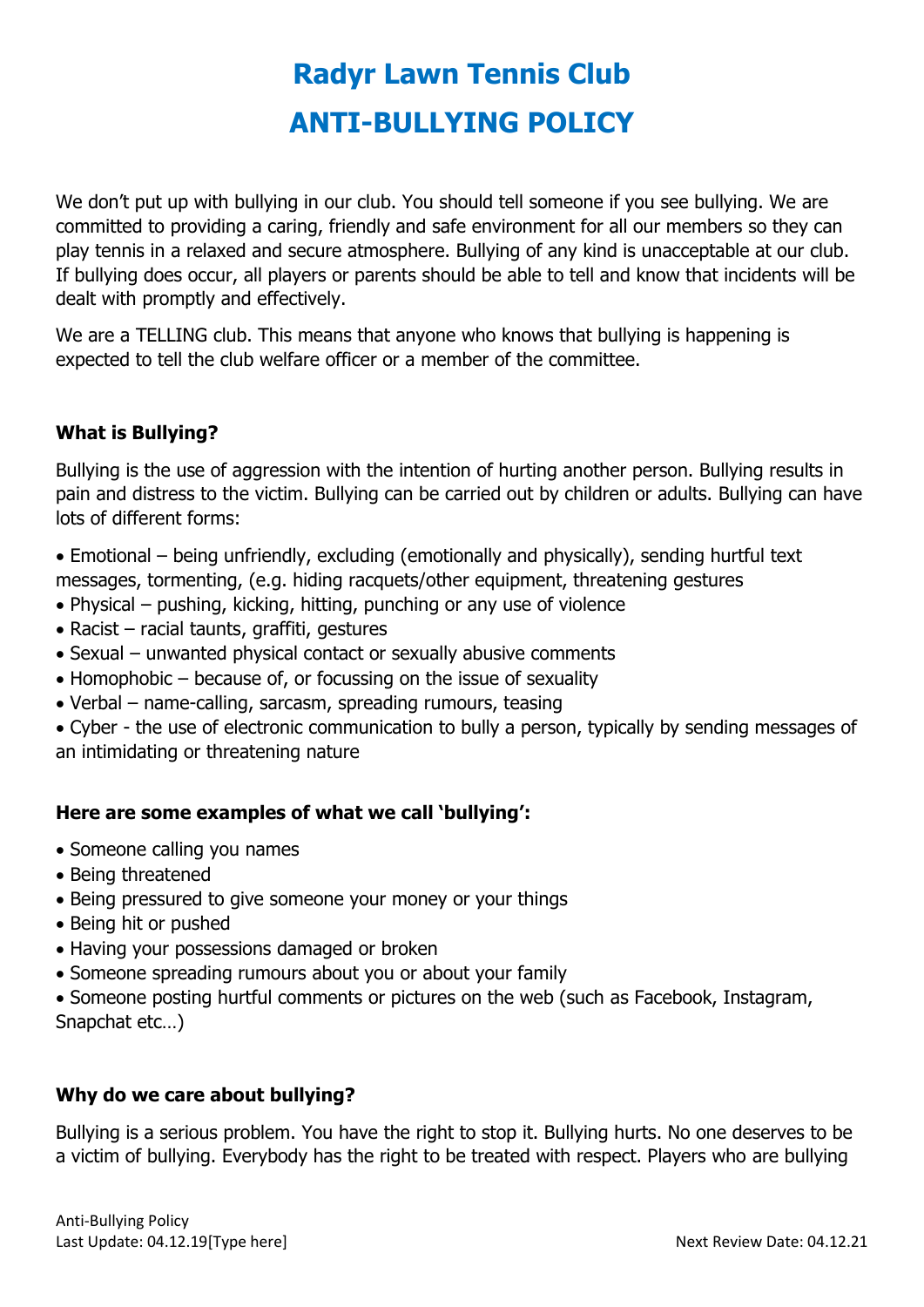# **Radyr Lawn Tennis Club ANTI-BULLYING POLICY**

We don't put up with bullying in our club. You should tell someone if you see bullying. We are committed to providing a caring, friendly and safe environment for all our members so they can play tennis in a relaxed and secure atmosphere. Bullying of any kind is unacceptable at our club. If bullying does occur, all players or parents should be able to tell and know that incidents will be dealt with promptly and effectively.

We are a TELLING club. This means that anyone who knows that bullying is happening is expected to tell the club welfare officer or a member of the committee.

# **What is Bullying?**

Bullying is the use of aggression with the intention of hurting another person. Bullying results in pain and distress to the victim. Bullying can be carried out by children or adults. Bullying can have lots of different forms:

 Emotional – being unfriendly, excluding (emotionally and physically), sending hurtful text messages, tormenting, (e.g. hiding racquets/other equipment, threatening gestures

- Physical pushing, kicking, hitting, punching or any use of violence
- $\bullet$  Racist racial taunts, graffiti, gestures
- Sexual unwanted physical contact or sexually abusive comments
- $\bullet$  Homophobic because of, or focussing on the issue of sexuality
- Verbal name-calling, sarcasm, spreading rumours, teasing

 Cyber - the use of electronic communication to bully a person, typically by sending messages of an intimidating or threatening nature

# **Here are some examples of what we call 'bullying':**

- Someone calling you names
- Being threatened
- Being pressured to give someone your money or your things
- Being hit or pushed
- Having your possessions damaged or broken
- Someone spreading rumours about you or about your family
- Someone posting hurtful comments or pictures on the web (such as Facebook, Instagram, Snapchat etc…)

# **Why do we care about bullying?**

Bullying is a serious problem. You have the right to stop it. Bullying hurts. No one deserves to be a victim of bullying. Everybody has the right to be treated with respect. Players who are bullying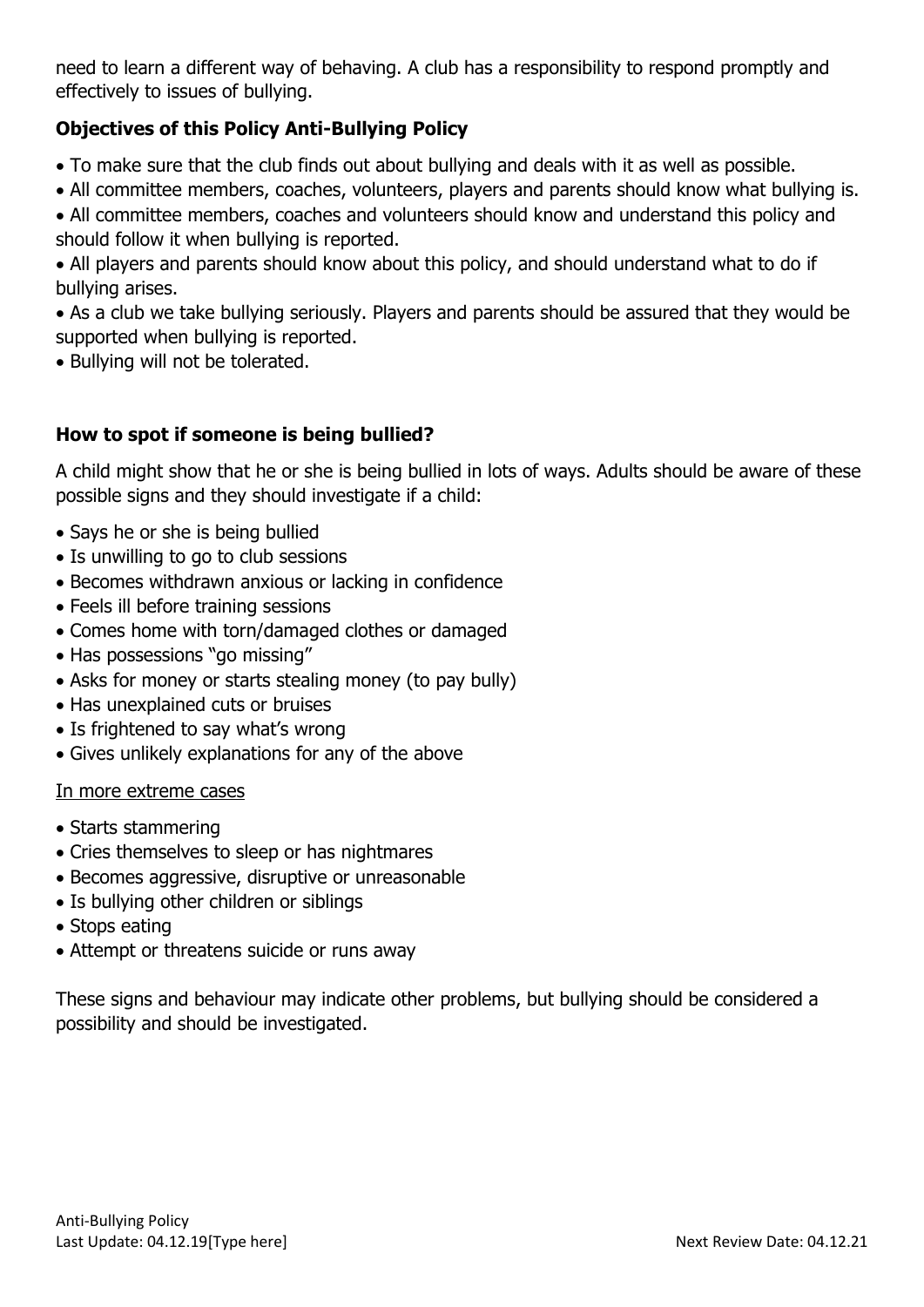need to learn a different way of behaving. A club has a responsibility to respond promptly and effectively to issues of bullying.

# **Objectives of this Policy Anti-Bullying Policy**

- To make sure that the club finds out about bullying and deals with it as well as possible.
- All committee members, coaches, volunteers, players and parents should know what bullying is.
- All committee members, coaches and volunteers should know and understand this policy and should follow it when bullying is reported.
- All players and parents should know about this policy, and should understand what to do if bullying arises.

 As a club we take bullying seriously. Players and parents should be assured that they would be supported when bullying is reported.

• Bullying will not be tolerated.

# **How to spot if someone is being bullied?**

A child might show that he or she is being bullied in lots of ways. Adults should be aware of these possible signs and they should investigate if a child:

- Says he or she is being bullied
- Is unwilling to go to club sessions
- Becomes withdrawn anxious or lacking in confidence
- Feels ill before training sessions
- Comes home with torn/damaged clothes or damaged
- Has possessions "go missing"
- Asks for money or starts stealing money (to pay bully)
- Has unexplained cuts or bruises
- Is frightened to say what's wrong
- Gives unlikely explanations for any of the above

#### In more extreme cases

- Starts stammering
- Cries themselves to sleep or has nightmares
- Becomes aggressive, disruptive or unreasonable
- Is bullying other children or siblings
- Stops eating
- Attempt or threatens suicide or runs away

These signs and behaviour may indicate other problems, but bullying should be considered a possibility and should be investigated.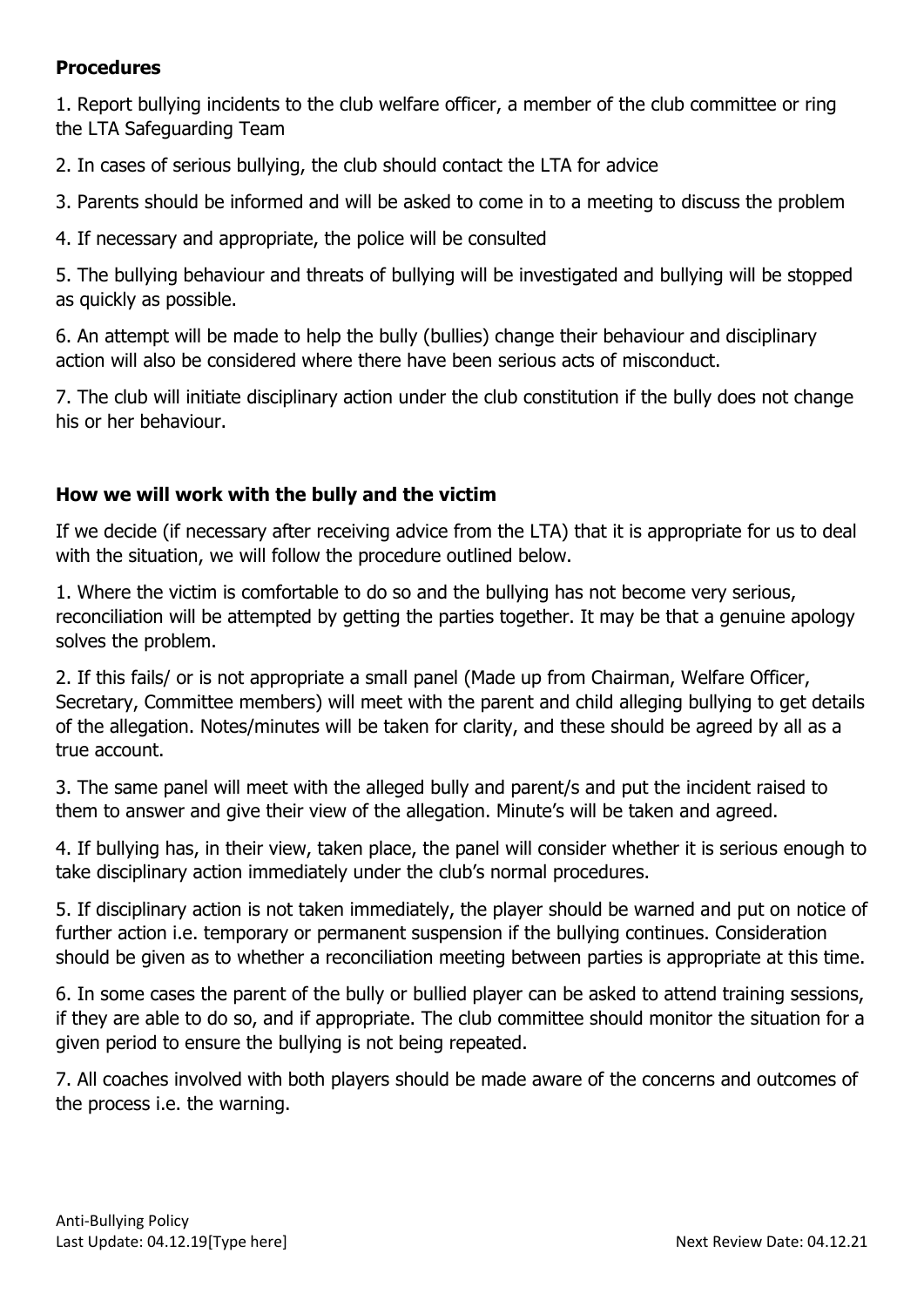#### **Procedures**

1. Report bullying incidents to the club welfare officer, a member of the club committee or ring the LTA Safeguarding Team

2. In cases of serious bullying, the club should contact the LTA for advice

3. Parents should be informed and will be asked to come in to a meeting to discuss the problem

4. If necessary and appropriate, the police will be consulted

5. The bullying behaviour and threats of bullying will be investigated and bullying will be stopped as quickly as possible.

6. An attempt will be made to help the bully (bullies) change their behaviour and disciplinary action will also be considered where there have been serious acts of misconduct.

7. The club will initiate disciplinary action under the club constitution if the bully does not change his or her behaviour.

# **How we will work with the bully and the victim**

If we decide (if necessary after receiving advice from the LTA) that it is appropriate for us to deal with the situation, we will follow the procedure outlined below.

1. Where the victim is comfortable to do so and the bullying has not become very serious, reconciliation will be attempted by getting the parties together. It may be that a genuine apology solves the problem.

2. If this fails/ or is not appropriate a small panel (Made up from Chairman, Welfare Officer, Secretary, Committee members) will meet with the parent and child alleging bullying to get details of the allegation. Notes/minutes will be taken for clarity, and these should be agreed by all as a true account.

3. The same panel will meet with the alleged bully and parent/s and put the incident raised to them to answer and give their view of the allegation. Minute's will be taken and agreed.

4. If bullying has, in their view, taken place, the panel will consider whether it is serious enough to take disciplinary action immediately under the club's normal procedures.

5. If disciplinary action is not taken immediately, the player should be warned and put on notice of further action i.e. temporary or permanent suspension if the bullying continues. Consideration should be given as to whether a reconciliation meeting between parties is appropriate at this time.

6. In some cases the parent of the bully or bullied player can be asked to attend training sessions, if they are able to do so, and if appropriate. The club committee should monitor the situation for a given period to ensure the bullying is not being repeated.

7. All coaches involved with both players should be made aware of the concerns and outcomes of the process i.e. the warning.